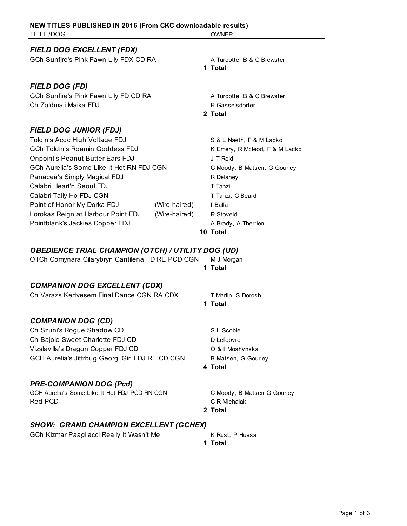| TITLE/DOG                                                                |               | OWNER                                                      |  |  |
|--------------------------------------------------------------------------|---------------|------------------------------------------------------------|--|--|
| FIELD DOG EXCELLENT (FDX)                                                |               |                                                            |  |  |
| GCh Sunfire's Pink Fawn Lily FDX CD RA                                   |               | A Turcotte, B & C Brewster<br>1 Total                      |  |  |
| <b>FIELD DOG (FD)</b>                                                    |               |                                                            |  |  |
| GCh Sunfire's Pink Fawn Lily FD CD RA<br>Ch Zoldmali Maika FDJ           |               | A Turcotte, B & C Brewster<br>R Gasselsdorfer              |  |  |
|                                                                          |               | 2 Total                                                    |  |  |
| <b>FIELD DOG JUNIOR (FDJ)</b>                                            |               |                                                            |  |  |
| Toldin's Acdc High Voltage FDJ<br><b>GCh Toldin's Roamin Goddess FDJ</b> |               | S & L Naeth, F & M Lacko<br>K Emery, R Mcleod, F & M Lacko |  |  |
| <b>Onpoint's Peanut Butter Ears FDJ</b>                                  |               | J T Reid                                                   |  |  |
| GCh Aurelia's Some Like It Hot RN FDJ CGN                                |               | C Moody, B Matsen, G Gourley                               |  |  |
| Panacea's Simply Magical FDJ<br>Calabri Heart'n Seoul FDJ                |               | R Delaney<br>T Tanzi                                       |  |  |
| Calabri Tally Ho FDJ CGN                                                 |               | T Tanzi, C Beard                                           |  |  |
| Point of Honor My Dorka FDJ                                              | (Wire-haired) | I Balla                                                    |  |  |
| Lorokas Reign at Harbour Point FDJ                                       | (Wire-haired) | R Stoveld                                                  |  |  |
| Pointblank's Jackies Copper FDJ                                          |               | A Brady, A Therrien<br>10 Total                            |  |  |
|                                                                          |               |                                                            |  |  |
| <b>OBEDIENCE TRIAL CHAMPION (OTCH) / UTILITY DOG (UD)</b>                |               |                                                            |  |  |
| OTCh Comynara Cilarybryn Cantilena FD RE PCD CGN                         |               | M J Morgan<br>1 Total                                      |  |  |
|                                                                          |               |                                                            |  |  |
| <b>COMPANION DOG EXCELLENT (CDX)</b>                                     |               |                                                            |  |  |
| Ch Varazs Kedvesem Final Dance CGN RA CDX                                |               | T Marlin, S Dorosh<br>1 Total                              |  |  |
| <b>COMPANION DOG (CD)</b>                                                |               |                                                            |  |  |
| Ch Szuni's Rogue Shadow CD                                               |               | S L Scobie                                                 |  |  |
| Ch Bajolo Sweet Charlotte FDJ CD                                         |               | D Lefebvre                                                 |  |  |
| Vizslavilla's Dragon Copper FDJ CD                                       |               | O & I Moshynska                                            |  |  |
| GCH Aurelia's Jittrbug Georgi Girl FDJ RE CD CGN                         |               | <b>B Matsen, G Gourley</b>                                 |  |  |
|                                                                          |               | 4 Total                                                    |  |  |
| <b>PRE-COMPANION DOG (Pcd)</b>                                           |               |                                                            |  |  |
| GCH Aurelia's Some Like It Hot FDJ PCD RN CGN<br>Red PCD                 |               | C Moody, B Matsen G Gourley<br>C R Michalak                |  |  |
|                                                                          |               | 2 Total                                                    |  |  |
| <b>SHOW: GRAND CHAMPION EXCELLENT (GCHEX)</b>                            |               |                                                            |  |  |
| GCh Kizmar Paagliacci Really It Wasn't Me                                |               | K Rust, P Hussa<br>1 Total                                 |  |  |

**NEW TITLES PUBLISHED IN 2016 (From CKC downloadable results)**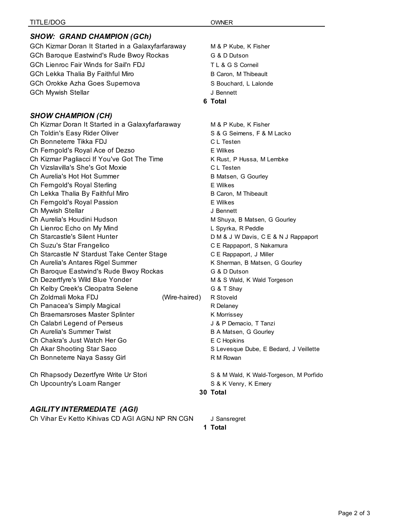| <b>TITLE/DOG</b>                                  |               | <b>OWNER</b>                  |
|---------------------------------------------------|---------------|-------------------------------|
| <b>SHOW: GRAND CHAMPION (GCh)</b>                 |               |                               |
| GCh Kizmar Doran It Started in a Galaxyfarfaraway |               | M & P Kube, K Fisher          |
| GCh Baroque Eastwind's Rude Bwoy Rockas           |               | G & D Dutson                  |
| <b>GCh Lienroc Fair Winds for Sail'n FDJ</b>      |               | T L & G S Corneil             |
| GCh Lekka Thalia By Faithful Miro                 |               | B Caron, M Thibeault          |
| GCh Orokke Azha Goes Supernova                    |               | S Bouchard, L Lalonde         |
| <b>GCh Mywish Stellar</b>                         |               | J Bennett                     |
|                                                   |               | 6 Total                       |
|                                                   |               |                               |
| <b>SHOW CHAMPION (CH)</b>                         |               |                               |
| Ch Kizmar Doran It Started in a Galaxyfarfaraway  |               | M & P Kube, K Fisher          |
| Ch Toldin's Easy Rider Oliver                     |               | S & G Seimens, F & M Lacko    |
| Ch Bonneterre Tikka FDJ                           |               | C L Testen                    |
| Ch Ferngold's Royal Ace of Dezso                  |               | E Wilkes                      |
| Ch Kizmar Pagliacci If You've Got The Time        |               | K Rust, P Hussa, M Lembke     |
| Ch Vizslavilla's She's Got Moxie                  |               | C.L. Testen                   |
| Ch Aurelia's Hot Hot Summer                       |               | B Matsen, G Gourley           |
| Ch Ferngold's Royal Sterling                      |               | <b>E</b> Wilkes               |
| Ch Lekka Thalia By Faithful Miro                  |               | B Caron, M Thibeault          |
| Ch Ferngold's Royal Passion                       |               | E Wilkes                      |
| Ch Mywish Stellar                                 |               | J Bennett                     |
| Ch Aurelia's Houdini Hudson                       |               | M Shuya, B Matsen, G Gourley  |
| Ch Lienroc Echo on My Mind                        |               | L Spyrka, R Peddle            |
| Ch Starcastle's Silent Hunter                     |               | D M & J W Davis, C E & N J Ra |
| Ch Suzu's Star Frangelico                         |               | C E Rappaport, S Nakamura     |
| Ch Starcastle N' Stardust Take Center Stage       |               | C E Rappaport, J Miller       |
| Ch Aurelia's Antares Rigel Summer                 |               | K Sherman, B Matsen, G Gourl  |
| Ch Baroque Eastwind's Rude Bwoy Rockas            |               | G & D Dutson                  |
| Ch Dezertfyre's Wild Blue Yonder                  |               | M & S Wald, K Wald Torgeson   |
| Ch Kelby Creek's Cleopatra Selene                 |               | G & T Shay                    |
| Ch Zoldmali Moka FDJ                              | (Wire-haired) | R Stoveld                     |
| Ch Panacea's Simply Magical                       |               | R Delaney                     |
| Ch Braemarsroses Master Splinter                  |               | K Morrissey                   |
| Ch Calabri Legend of Perseus                      |               | J & P Demacio, T Tanzi        |
| Ch Aurelia's Summer Twist                         |               | B A Matsen, G Gourley         |
| Ch Chakra's Just Watch Her Go                     |               | E C Hopkins                   |
| Ch Akar Shooting Star Saco                        |               | S Levesque Dube, E Bedard, J  |
| Ch Bonneterre Naya Sassy Girl                     |               | R M Rowan                     |
| Ch Rhapsody Dezertfyre Write Ur Stori             |               | S & M Wald, K Wald-Torgeson,  |
| Ch Upcountry's Loam Ranger                        |               | S & K Venry, K Emery          |
|                                                   |               | 30 Total                      |

## *AGILITY INTERMEDIATE (AGI)*

Ch Vihar Ev Ketto Kihivas CD AGI AGNJ NP RN CGN J Sansregret

& N J Rappaport G Gourley Bedard, J Veillette orgeson, M Porfido

**30 Total**

**1 Total**